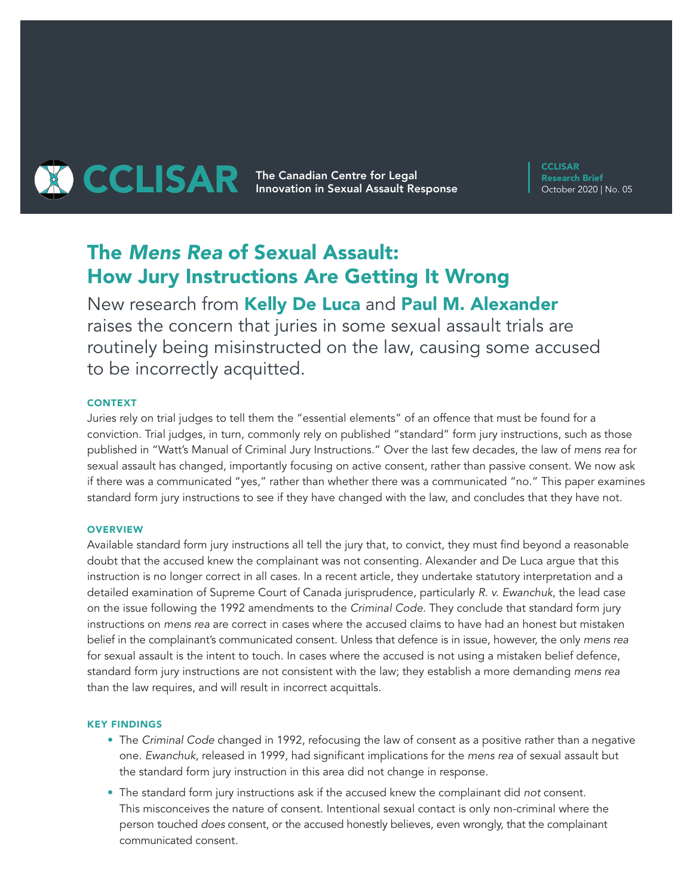

**CCLISAR** Research Brief October 2020 | No. 05

# The *Mens Rea* of Sexual Assault: How Jury Instructions Are Getting It Wrong

New research from Kelly De Luca and Paul M. Alexander raises the concern that juries in some sexual assault trials are routinely being misinstructed on the law, causing some accused to be incorrectly acquitted.

## **CONTEXT**

Juries rely on trial judges to tell them the "essential elements" of an offence that must be found for a conviction. Trial judges, in turn, commonly rely on published "standard" form jury instructions, such as those published in "Watt's Manual of Criminal Jury Instructions." Over the last few decades, the law of *mens rea* for sexual assault has changed, importantly focusing on active consent, rather than passive consent. We now ask if there was a communicated "yes," rather than whether there was a communicated "no." This paper examines standard form jury instructions to see if they have changed with the law, and concludes that they have not.

## **OVERVIEW**

Available standard form jury instructions all tell the jury that, to convict, they must find beyond a reasonable doubt that the accused knew the complainant was not consenting. Alexander and De Luca argue that this instruction is no longer correct in all cases. In a recent article, they undertake statutory interpretation and a detailed examination of Supreme Court of Canada jurisprudence, particularly *R. v. Ewanchuk*, the lead case on the issue following the 1992 amendments to the *Criminal Code*. They conclude that standard form jury instructions on *mens rea* are correct in cases where the accused claims to have had an honest but mistaken belief in the complainant's communicated consent. Unless that defence is in issue, however, the only *mens rea* for sexual assault is the intent to touch. In cases where the accused is not using a mistaken belief defence, standard form jury instructions are not consistent with the law; they establish a more demanding *mens rea* than the law requires, and will result in incorrect acquittals.

## KEY FINDINGS

- The *Criminal Code* changed in 1992, refocusing the law of consent as a positive rather than a negative one. *Ewanchuk*, released in 1999, had significant implications for the *mens rea* of sexual assault but the standard form jury instruction in this area did not change in response.
- The standard form jury instructions ask if the accused knew the complainant did *not* consent. This misconceives the nature of consent. Intentional sexual contact is only non-criminal where the person touched *does* consent, or the accused honestly believes, even wrongly, that the complainant communicated consent.